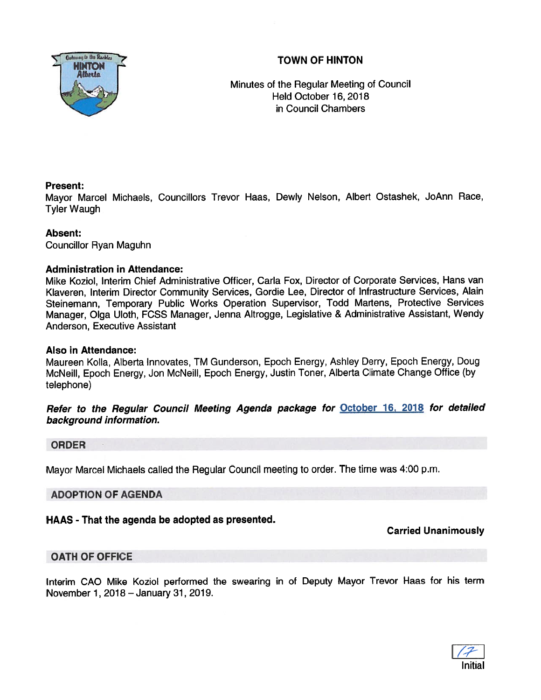## TOWN OF HINTON



Minutes of the Regular Meeting of Council Held October 16, 2018 in Council Chambers

## Present:

Mayor Marcel Michaels, Councillors Trevor Haas, Dewly Nelson, Albert Ostashek, JoAnn Race, Tyler Waugh

## Absent:

Councillor Ryan Maguhn

## Administration in Attendance:

Mike Koziol, Interim Chief Administrative Officer, Carla Fox, Director of Corporate Services, Hans van Klaveren, Interim Director Community Services, Gordie Lee, Director of Infrastructure Services, Alain Steinemann, Temporary Public Works Operation Supervisor, Todd Martens, Protective Services Manager, Olga Uloth, FCSS Manager, Jenna Altrogge, Legislative & Administrative Assistant, Wendy Anderson, Executive Assistant

## Also in Attendance:

Maureen Kolla, Alberta Innovates, TM Gunderson, Epoch Energy, Ashley Derry, Epoch Energy, Doug McNeill, Epoch Energy, Jon McNeill, Epoch Energy, Justin Toner, Alberta Climate Change Office (by telephone)

Refer to the Regular Council Meeting Agenda package for October 16, <sup>2018</sup> for detailed background information.

## ORDER

Mayor Marcel Michaels called the Regular Council meeting to order. The time was 4:00 p.m.

## ADOPTION OF AGENDA

## HAAS - That the agenda be adopted as presented.

## Carried Unanimously

## OATH OF OFFICE

Interim CAO Mike Koziol performed the swearing in of Deputy Mayor Trevor Haas for his term November 1, 2018 — January 31, 2019.

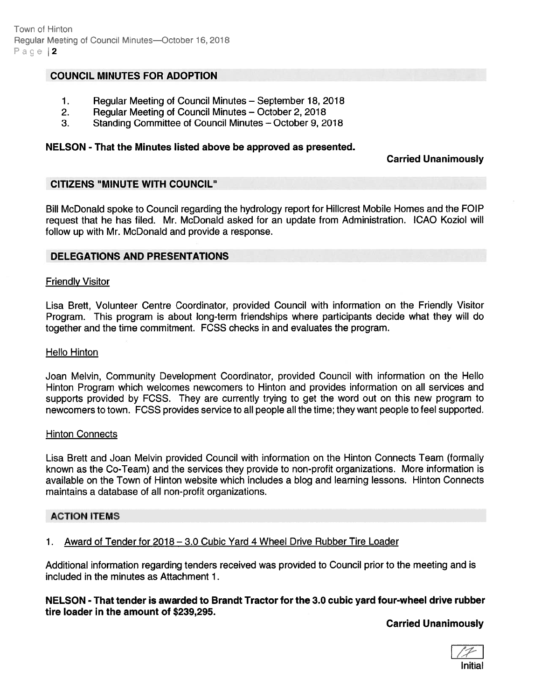## COUNCIL MINUTES FOR ADOPTION

- 1. Regular Meeting of Council Minutes September 18, 2018
- 2. Regular Meeting of Council Minutes October 2, 2018
- 3. Standing Committee of Council Minutes October 9, 2018

#### NELSON - That the Minutes listed above be approved as presented.

#### Carried Unanimously

## CITIZENS "MINUTE WITH COUNCIL"

Bill McDonald spoke to Council regarding the hydrology repor<sup>t</sup> for Hillcrest Mobile Homes and the FOIP reques<sup>t</sup> that he has filed. Mr. McDonald asked for an update from Administration. ICAO Koziol will follow up with Mr. McDonald and provide <sup>a</sup> response.

#### DELEGATIONS AND PRESENTATIONS

#### Friendly Visitor

Lisa Brett, Volunteer Centre Coordinator, provided Council with information on the Friendly Visitor Program. This program is about long-term friendships where participants decide what they will do together and the time commitment. FCSS checks in and evaluates the program.

#### Hello Hinton

Joan Melvin, Community Development Coordinator, provided Council with information on the Hello Hinton Program which welcomes newcomers to Hinton and provides information on all services and supports provided by FCSS. They are currently trying to ge<sup>t</sup> the word out on this new program to newcomers to town. FCSS provides service to all people all the time; they want people to feel supported.

#### Hinton Connects

Lisa Brett and Joan Melvin provided Council with information on the Hinton Connects Team (formally known as the Co-Team) and the services they provide to non-profit organizations. More information is available on the Town of Hinton website which includes <sup>a</sup> blog and learning lessons. Hinton Connects maintains <sup>a</sup> database of all non-profit organizations.

#### ACTION ITEMS

1. Award of Tender for 2018 —3.0 Cubic Yard 4 Wheel Drive Rubber Tire Loader

Additional information regarding tenders received was provided to Council prior to the meeting and is included in the minutes as Attachment 1.

#### NELSON -That tender is awarded to Brandt Tractor for the 3.0 cubic yard four-wheel drive rubber tire loader in the amount of \$239,295.

Carried Unanimously

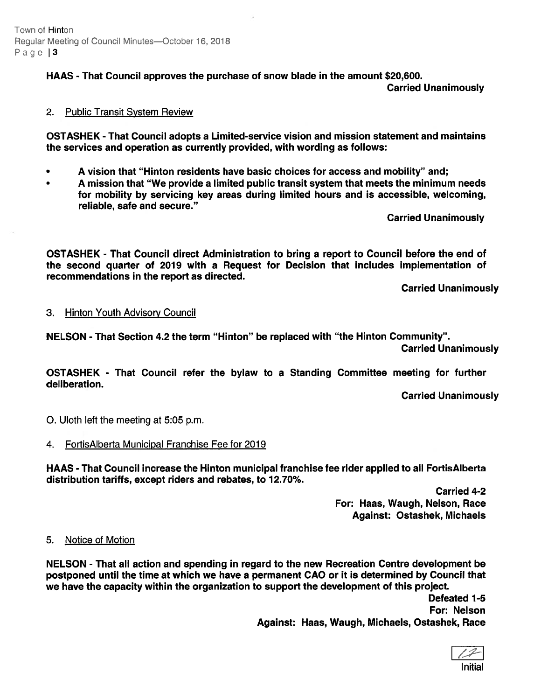Town of Hinton Regular Meeting of Council Minutes-October 16, 2018 Page | 3

HAAS - That Council approves the purchase of snow blade in the amount \$20,600.

Carried Unanimously

## 2. Public Transit System Review

OSTASHEK - That Council adopts <sup>a</sup> Limited-service vision and mission statement and maintains the services and operation as currently provided, with wording as follows:

- •A vision that "Hinton residents have basic choices for access and mobility" and;
- • A mission that "We provide <sup>a</sup> limited public transit system that meets the minimum needs for mobility by servicing key areas during limited hours and is accessible, welcoming, reliable, safe and secure."

Carried Unanimously

OSTASHEK - That Council direct Administration to bring <sup>a</sup> repor<sup>t</sup> to Council before the end of the second quarter of 2019 with <sup>a</sup> Request for Decision that includes implementation of recommendations in the repor<sup>t</sup> as directed.

Carried Unanimously

#### 3. Hinton Youth Advisory Council

NELSON - That Section 4.2 the term "Hinton" be replaced with "the Hinton Community". Carried Unanimously

OSTASHEK - That Council refer the bylaw to <sup>a</sup> Standing Committee meeting for further deliberation.

Carried Unanimously

0. Uloth left the meeting at 5:05 p.m.

## 4. Fortis Alberta Municipal Franchise Fee for 2019

HAAS - That Council increase the Hinton municipal franchise fee rider applied to all FortisAlberta distribution tariffs, except riders and rebates, to 12.70%.

> Carried 4-2 For: Haas, Waugh, Nelson, Race Against: Ostashek, Michaels

#### 5. Notice of Motion

NELSON - That all action and spending in regard to the new Recreation Centre development be postponed until the time at which we have <sup>a</sup> permanen<sup>t</sup> CAO or it is determined by Council that we have the capacity within the organization to suppor<sup>t</sup> the development of this project.

> Defeated 1-5 For: Nelson Against: Haas, Waugh, Michaels, Ostashek, Race

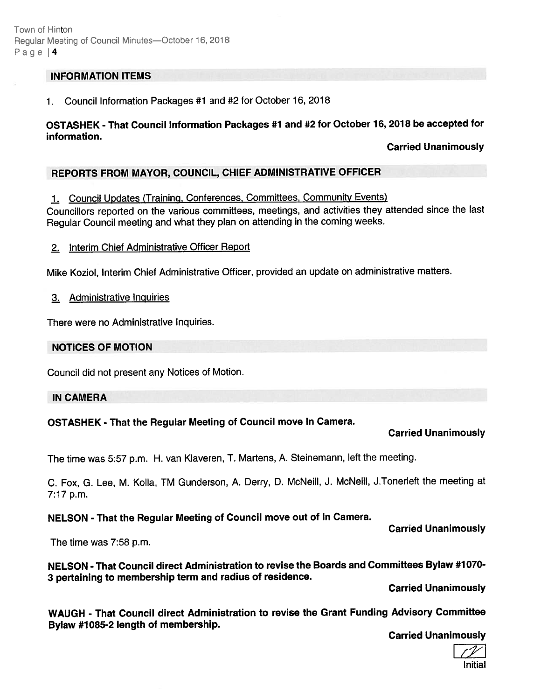#### INFORMATION ITEMS

1. Council Information Packages #1 and #2 for October 16, 2018

## OSTASHEK -That Council Information Packages #1 and #2 for October 16, <sup>2018</sup> be accepted for information.

## Carried Unanimously

## REPORTS FROM MAYOR, COUNCIL, CHIEF ADMINISTRATIVE OFFICER

#### 1. Council Updates (Traininq, Conferences, Committees, Community Events)

Councillors reported on the various committees, meetings, and activities they attended since the last Regular Council meeting and what they <sup>p</sup>lan on attending in the coming weeks.

#### 2. Interim Chief Administrative Officer Report

Mike Koziol, Interim Chief Administrative Officer, provided an update on administrative matters.

#### 3. Administrative Inquiries

There were no Administrative Inquiries.

## NOTICES OF MOTION

Council did not presen<sup>t</sup> any Notices of Motion.

#### IN CAMERA

## OSTASHEK - That the Regular Meeting of Council move In Camera.

## Carried Unanimously

The time was 5:57 p.m. H. van Kiaveren, T. Martens, A. Steinemann, left the meeting.

C. Fox, G. Lee, M. Kolla, TM Gunderson, A. Derry, D. McNeiII, J. McNeill, J.Tonerleft the meeting at 7:17 p.m.

#### NELSON - That the Regular Meeting of Council move out of In Camera.

Carried Unanimously

The time was 7:58 p.m.

NELSON - That Council direct Administration to revise the Boards and Committees Bylaw #1070- <sup>3</sup> pertaining to membership term and radius of residence.

Carried Unanimously

WAUGH - That Council direct Administration to revise the Grant Funding Advisory Committee Bylaw #1085-2 length of membership.

Carried Unanimously

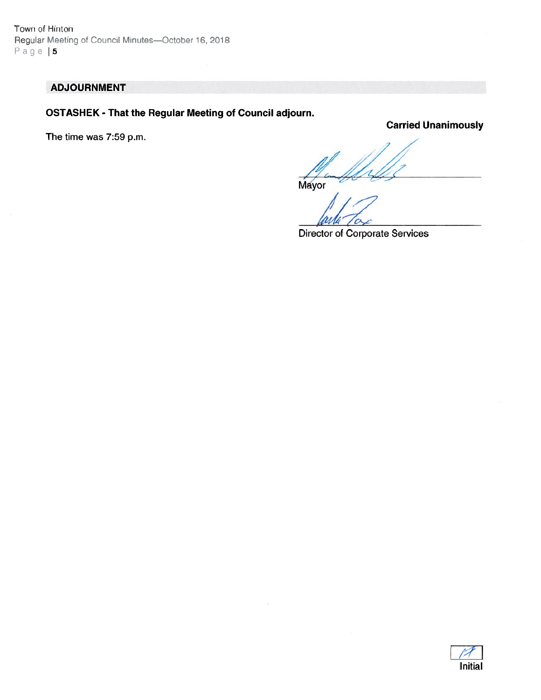Town of Hinton Regular Meeting of Council Minutes-October 16, 2018 Page | 5

## ADJOURNMENT

OSTASHEK - That the Regular Meeting of Council adjourn.

The time was 7:59 p.m.

Carried Unanimously

Mayor

Director of Corporate Services

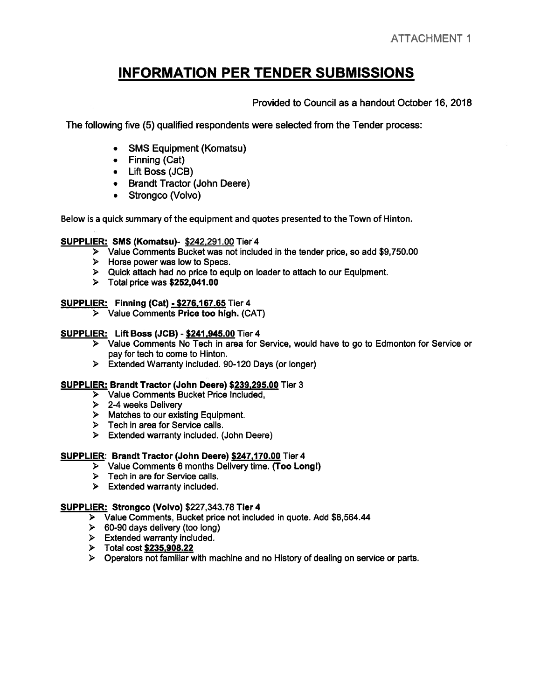# INFORMATION PER TENDER SUBMISSIONS

Provided to Council as <sup>a</sup> handout October 16, 2018

The following five (5) qualified respondents were selected from the Tender process:

- SMS Equipment (Komatsu)
- Finning (Cat)
- Lift Boss (JCB)
- Brandt Tractor (John Deere)
- Strongco (Volvo)

Below is <sup>a</sup> quick summary of the equipment and quotes presented to the Town of Hinton.

#### SUPPLIER: SMS (Komatsu)- \$242,291.00 Tier4

- <sup>&</sup>gt; Value Comments Bucket was not included in the tender price, so add \$9,750.00
- > Horse power was low to Specs.
- Quick attach had no price to equip on loader to attach to our Equipment.
- $\triangleright$  Total price was \$252,041.00

#### **SUPPLIER: Finning (Cat) - \$276,167.65 Tier 4**

<sup>&</sup>gt; Value Comments Price too high. (CAT)

#### SUPPLIER: Lift Boss (JCB) - \$241,945.00 Tier 4

- <sup>&</sup>gt; Value Comments No Tech in area for Service, would have to go to Edmonton for Service or pay for tech to come to Hinton.
- <sup>&</sup>gt; Extended Warranty included. 90-120 Days (or longer)

#### SUPPLIER: Brandt Tractor (John Deere) \$239,295.00 Tier 3

- <sup>&</sup>gt; Value Comments Bucket Price Included,
- <sup>&</sup>gt; 2-4 weeks Delivery
- $\triangleright$  Matches to our existing Equipment.
- > Tech in area for Service calls.
- <sup>&</sup>gt; Extended warranty included. (John Deere)

#### SUPPLIER: Brandt Tractor (John Deere) \$247,170.00 Tier 4

- Value Comments 6 months Delivery time. (Too Long!)
- $\triangleright$  Tech in are for Service calls.
- $\triangleright$  Extended warranty included.

#### SUPPLIER: Strongco (Volvo) \$227,343.78 Tier 4

- <sup>&</sup>gt; Value Comments, Bucket price not included in quote. Add \$8,564.44
- $\geq$  60-90 days delivery (too long)
- $\triangleright$  Extended warranty included.
- Total cost \$235,908.22
- Operators not familiar with machine and no History of dealing on service or parts.